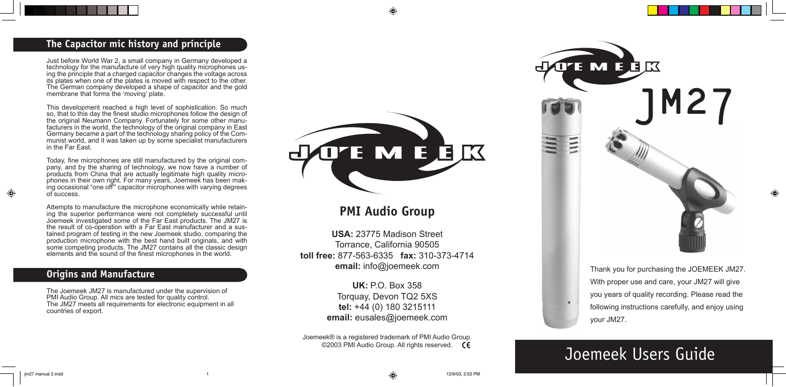# **The Capacitor mic history and principle**

Just before World War 2, a small company in Germany developed a technology for the manufacture of very high quality microphones using the principle that a charged capacitor changes the voltage across its plates when one of the plates is moved with respect to the other. The German company developed a shape of capacitor and the gold membrane that forms the 'moving' plate.

This development reached a high level of sophistication. So much so, that to this day the finest studio microphones follow the design of the original Neumann Company. Fortunately for some other manufacturers in the world, the technology of the original company in East Germany became a part of the technology sharing policy of the Communist world, and it was taken up by some specialist manufacturers in the Far East.

Today, fine microphones are still manufactured by the original company, and by the sharing of technology, we now have a number of products from China that are actually legitimate high quality microphones in their own right. For many years, Joemeek has been making occasional "one off"' capacitor microphones with varying degrees of success.

Attempts to manufacture the microphone economically while retaining the superior performance were not completely successful until Joemeek investigated some of the Far East products. The JM27 is the result of co-operation with a Far East manufacturer and a sustained program of testing in the new Joemeek studio, comparing the production microphone with the best hand built originals, and with some competing products. The JM27 contains all the classic design elements and the sound of the finest microphones in the world.

# **Origins and Manufacture**

The Joemeek JM27 is manufactured under the supervision of PMI Audio Group. All mics are tested for quality control. The JM27 meets all requirements for electronic equipment in all countries of export.



# **PMI Audio Group**

**USA:** 23775 Madison Street Torrance, California 90505 **toll free:** 877-563-6335 **fax:** 310-373-4714 **email:** info@joemeek.com

> **UK:** P.O. Box 358 Torquay, Devon TQ2 5XS **tel:** +44 (0) 180 3215111 **email:** eusales@joemeek.com

Joemeek® is a registered trademark of PMI Audio Group. ©2003 PMI Audio Group. All rights reserved. **CE** 



Thank you for purchasing the JOEMEEK JM27. With proper use and care, your JM27 will give you years of quality recording. Please read the following instructions carefully, and enjoy using your JM27.

# Joemeek Users Guide